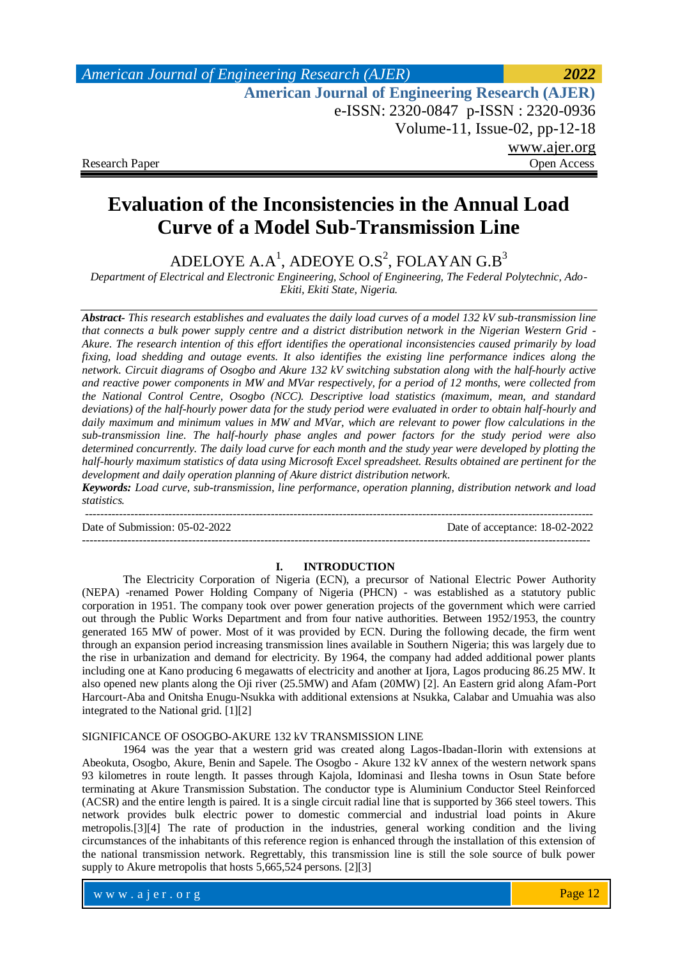*American Journal of Engineering Research (AJER) 2022*  **American Journal of Engineering Research (AJER)** e-ISSN: 2320-0847 p-ISSN : 2320-0936 Volume-11, Issue-02, pp-12-18 www.ajer.org Research Paper **Open Access** Open Access **Open Access** 

# **Evaluation of the Inconsistencies in the Annual Load Curve of a Model Sub-Transmission Line**

ADELOYE A.A<sup>1</sup>, ADEOYE O.S<sup>2</sup>, FOLAYAN G.B<sup>3</sup>

*Department of Electrical and Electronic Engineering, School of Engineering, The Federal Polytechnic, Ado-Ekiti, Ekiti State, Nigeria.*

*Abstract- This research establishes and evaluates the daily load curves of a model 132 kV sub-transmission line that connects a bulk power supply centre and a district distribution network in the Nigerian Western Grid - Akure. The research intention of this effort identifies the operational inconsistencies caused primarily by load fixing, load shedding and outage events. It also identifies the existing line performance indices along the network. Circuit diagrams of Osogbo and Akure 132 kV switching substation along with the half-hourly active and reactive power components in MW and MVar respectively, for a period of 12 months, were collected from the National Control Centre, Osogbo (NCC). Descriptive load statistics (maximum, mean, and standard deviations) of the half-hourly power data for the study period were evaluated in order to obtain half-hourly and daily maximum and minimum values in MW and MVar, which are relevant to power flow calculations in the sub-transmission line. The half-hourly phase angles and power factors for the study period were also determined concurrently. The daily load curve for each month and the study year were developed by plotting the half-hourly maximum statistics of data using Microsoft Excel spreadsheet. Results obtained are pertinent for the development and daily operation planning of Akure district distribution network.*

*Keywords: Load curve, sub-transmission, line performance, operation planning, distribution network and load statistics.* --------------------------------------------------------------------------------------------------------------------------------------

Date of Submission: 05-02-2022 Date of acceptance: 18-02-2022

## **I. INTRODUCTION**

--------------------------------------------------------------------------------------------------------------------------------------

The Electricity Corporation of Nigeria (ECN), a precursor of National Electric Power Authority (NEPA) -renamed Power Holding Company of Nigeria (PHCN) - was established as a statutory public corporation in 1951. The company took over power generation projects of the government which were carried out through the Public Works Department and from four native authorities. Between 1952/1953, the country generated 165 MW of power. Most of it was provided by ECN. During the following decade, the firm went through an expansion period increasing transmission lines available in Southern Nigeria; this was largely due to the rise in urbanization and demand for electricity. By 1964, the company had added additional power plants including one at Kano producing 6 megawatts of electricity and another at Ijora, Lagos producing 86.25 MW. It also opened new plants along the Oji river (25.5MW) and Afam (20MW) [2]. An Eastern grid along Afam-Port Harcourt-Aba and Onitsha Enugu-Nsukka with additional extensions at Nsukka, Calabar and Umuahia was also integrated to the National grid. [1][2]

### SIGNIFICANCE OF OSOGBO-AKURE 132 kV TRANSMISSION LINE

1964 was the year that a western grid was created along Lagos-Ibadan-Ilorin with extensions at Abeokuta, Osogbo, Akure, Benin and Sapele. The Osogbo - Akure 132 kV annex of the western network spans 93 kilometres in route length. It passes through Kajola, Idominasi and Ilesha towns in Osun State before terminating at Akure Transmission Substation. The conductor type is Aluminium Conductor Steel Reinforced (ACSR) and the entire length is paired. It is a single circuit radial line that is supported by 366 steel towers. This network provides bulk electric power to domestic commercial and industrial load points in Akure metropolis.[3][4] The rate of production in the industries, general working condition and the living circumstances of the inhabitants of this reference region is enhanced through the installation of this extension of the national transmission network. Regrettably, this transmission line is still the sole source of bulk power supply to Akure metropolis that hosts 5,665,524 persons. [2][3]

www.ajer.org where  $\mathcal{L} = \mathcal{L} \left( \mathcal{L} \right)$  is the set of  $\mathcal{L} \left( \mathcal{L} \right)$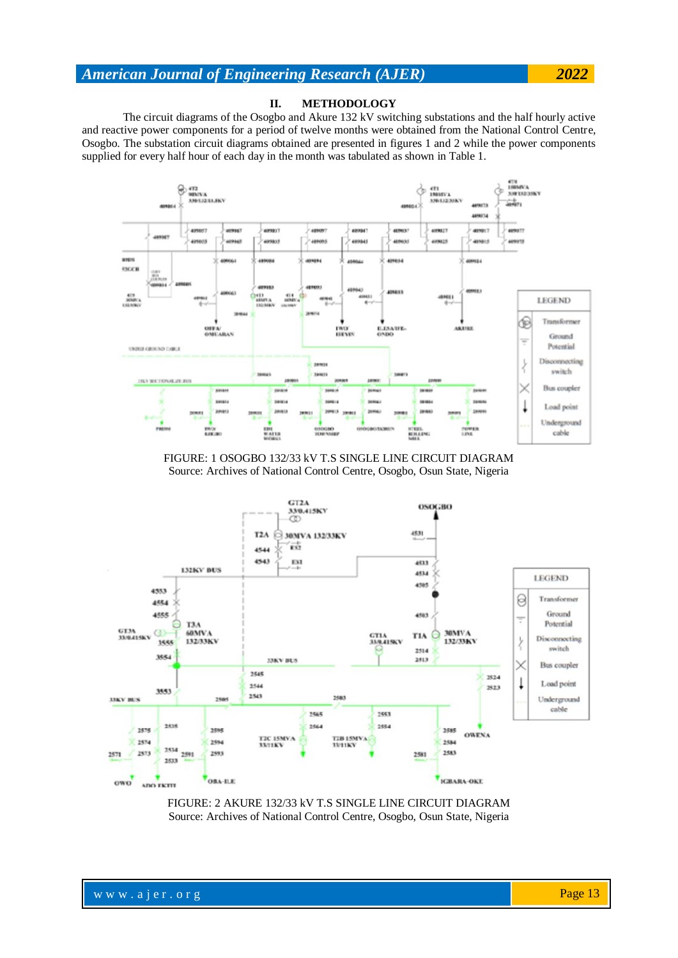## **II. METHODOLOGY**

The circuit diagrams of the Osogbo and Akure 132 kV switching substations and the half hourly active and reactive power components for a period of twelve months were obtained from the National Control Centre, Osogbo. The substation circuit diagrams obtained are presented in figures 1 and 2 while the power components supplied for every half hour of each day in the month was tabulated as shown in Table 1.



FIGURE: 1 OSOGBO 132/33 kV T.S SINGLE LINE CIRCUIT DIAGRAM Source: Archives of National Control Centre, Osogbo, Osun State, Nigeria



FIGURE: 2 AKURE 132/33 kV T.S SINGLE LINE CIRCUIT DIAGRAM Source: Archives of National Control Centre, Osogbo, Osun State, Nigeria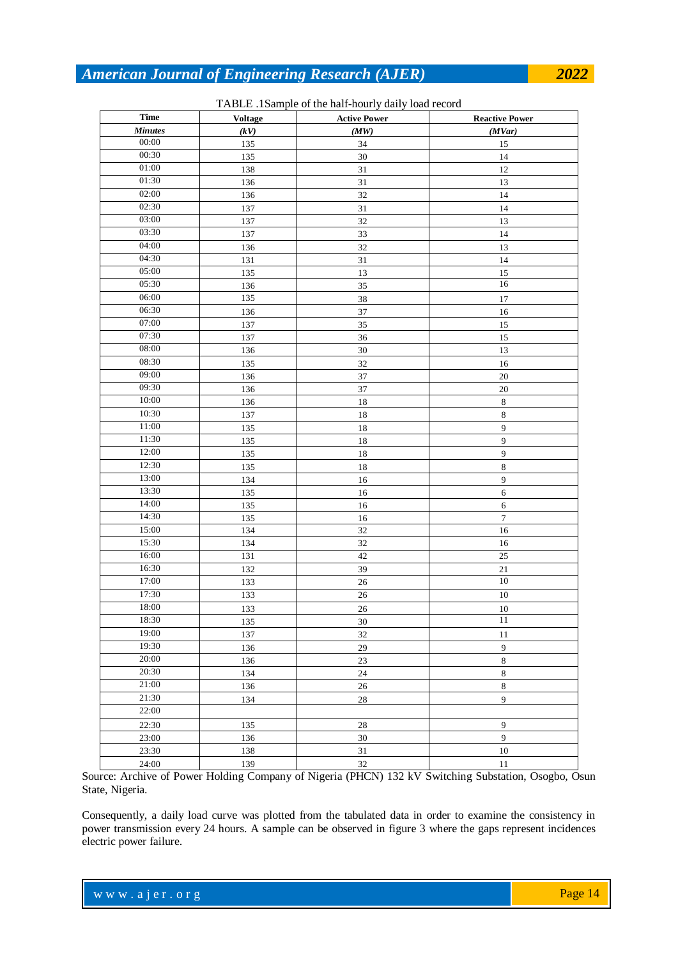| <b>Time</b>    | <b>Voltage</b> | <b>Active Power</b> | <b>Reactive Power</b> |
|----------------|----------------|---------------------|-----------------------|
| <b>Minutes</b> | (kV)           | (MW)                | (MVar)                |
| 00:00          | 135            | 34                  | 15                    |
| 00:30          | 135            | 30                  | 14                    |
| 01:00          | 138            | $31\,$              | 12                    |
| 01:30          | 136            | $31\,$              | 13                    |
| 02:00          | 136            | 32                  | 14                    |
| 02:30          | 137            | $31\,$              | 14                    |
| 03:00          | 137            | 32                  | 13                    |
| 03:30          | 137            | 33                  | 14                    |
| 04:00          | 136            | 32                  | 13                    |
| 04:30          | 131            | $31\,$              | 14                    |
| 05:00          | 135            | 13                  | $15\,$                |
| 05:30          | 136            | 35                  | 16                    |
| 06:00          | 135            | 38                  | 17                    |
| 06:30          | 136            | 37                  | 16                    |
| 07:00          | 137            | 35                  | $15\,$                |
| 07:30          | 137            | 36                  | 15                    |
| 08:00          | 136            | $30\,$              | 13                    |
| 08:30          | 135            | 32                  | 16                    |
| 09:00          | 136            | 37                  | $20\,$                |
| 09:30          | 136            | 37                  | $20\,$                |
| 10:00          | 136            | 18                  | $\,8\,$               |
| 10:30          | 137            | 18                  | $\,8\,$               |
| 11:00          | 135            | 18                  | $\overline{9}$        |
| 11:30          | 135            | 18                  | $\overline{9}$        |
| 12:00          | 135            | 18                  | $\boldsymbol{9}$      |
| 12:30          | 135            | 18                  | $\,$ 8 $\,$           |
| 13:00          | 134            | 16                  | 9                     |
| 13:30          | 135            | 16                  | 6                     |
| 14:00          | 135            | 16                  | $\sqrt{6}$            |
| 14:30          | 135            | 16                  | $\overline{7}$        |
| 15:00          | 134            | 32                  | 16                    |
| 15:30          | 134            | 32                  | 16                    |
| 16:00          | 131            | 42                  | $25\,$                |
| 16:30          | 132            | 39                  | 21                    |
| 17:00          | 133            | $26\,$              | $10\,$                |
| 17:30          | 133            | 26                  | $10\,$                |
| 18:00          | 133            | 26                  | $10\,$                |
| 18:30          | 135            | 30                  | $11\,$                |
| 19:00          | 137            | 32                  | 11                    |
| 19:30          | 136            | 29                  | $\overline{9}$        |
| 20:00          | 136            | $23\,$              | $\,8\,$               |
| 20:30          | 134            | 24                  | $\,8\,$               |
| 21:00          | 136            | $26\,$              | $\,8\,$               |
| 21:30          | 134            | $28\,$              | 9                     |
| 22:00          |                |                     |                       |
| 22:30          | 135            | 28                  | $\boldsymbol{9}$      |
| 23:00          | 136            | 30                  | $\overline{9}$        |
| 23:30          | 138            | 31                  | $10\,$                |
| 24:00          | 139            | 32                  | $11\,$                |

TABLE .1Sample of the half-hourly daily load record

Source: Archive of Power Holding Company of Nigeria (PHCN) 132 kV Switching Substation, Osogbo, Osun State, Nigeria.

Consequently, a daily load curve was plotted from the tabulated data in order to examine the consistency in power transmission every 24 hours. A sample can be observed in figure 3 where the gaps represent incidences electric power failure.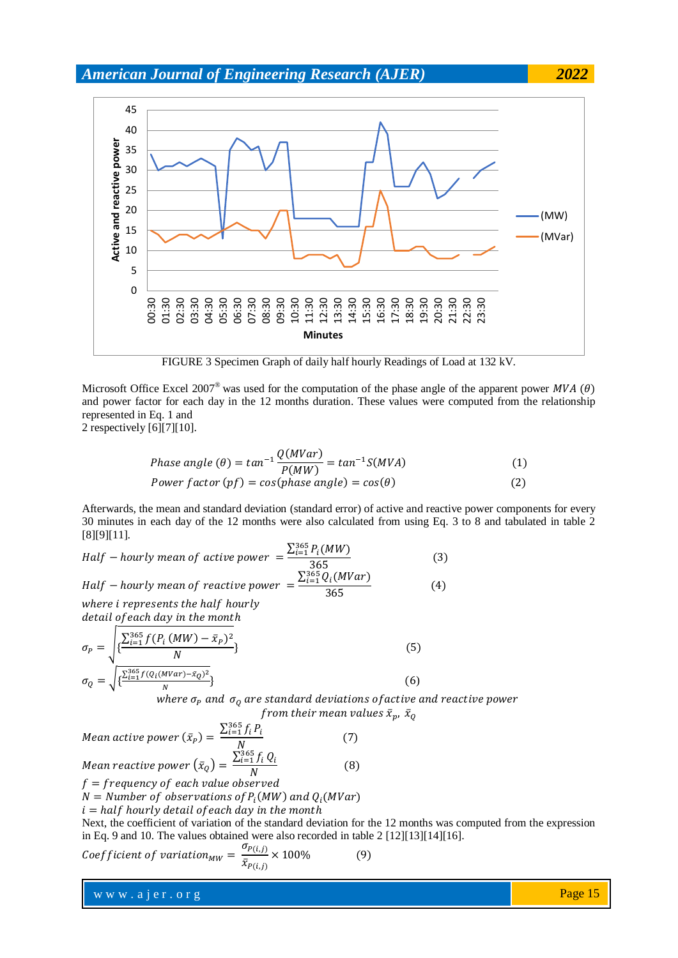

FIGURE 3 Specimen Graph of daily half hourly Readings of Load at 132 kV.

Microsoft Office Excel 2007<sup>®</sup> was used for the computation of the phase angle of the apparent power MVA ( $\theta$ ) and power factor for each day in the 12 months duration. These values were computed from the relationship represented in Eq. 1 and

2 respectively [6][7][10].

Phase angle 
$$
(\theta) = \tan^{-1} \frac{Q(MVar)}{P(MW)} = \tan^{-1} S(MVA)
$$
 (1)  
Power factor  $(pf) = \cos(phase angle) = \cos(\theta)$  (2)

Afterwards, the mean and standard deviation (standard error) of active and reactive power components for every 30 minutes in each day of the 12 months were also calculated from using Eq. 3 to 8 and tabulated in table 2 [8][9][11].

Half – hourly mean of active power 
$$
= \frac{\sum_{i=1}^{365} P_i(MW)}{365}
$$
  
Half – hourly mean of reactive power 
$$
= \frac{\sum_{i=1}^{365} Q_i(MVar)}{365}
$$
 (3)  
where i represents the half hourly (4)

detail of each day in the month

$$
\sigma_P = \sqrt{\frac{\sum_{i=1}^{365} f(P_i (MW) - \bar{x}_P)^2}{N}}
$$
\n
$$
\sigma_Q = \sqrt{\frac{\sum_{i=1}^{365} f(Q_i (MVar) - \bar{x}_Q)^2}{N}}
$$
\n(6)

\nwhere  $\sigma$  and  $\sigma$  are standard deviations of  $Q$ .

where  $\sigma_{P}$  and  $\ \sigma_{Q}$  are standard deviations of active and reactive power from their mean values  $\bar{x}_p$ ,  $\bar{x}_0$ 

Mean active power  $(\bar{x}_P) = \frac{\sum_{i=1}^{3}}{2}$ Ņ  $(7)$ M  $\Sigma^3_i$  $(8)$ 

 $\boldsymbol{N}$  $f = frequency of each value observed$ 

 $N =$  Number of observations of  $P_i(MW)$  and  $Q_i(N)$ 

 $i = half$  hourly detail of each day in the month

Next, the coefficient of variation of the standard deviation for the 12 months was computed from the expression in Eq. 9 and 10. The values obtained were also recorded in table 2 [12][13][14][16].

$$
Coefficient of variation_{MW} = \frac{\sigma_{P(i,j)}}{\bar{x}_{P(i,j)}} \times 100\%
$$
 (9)

www.ajer.org where  $\mathcal{L} = \mathcal{L} \left( \mathcal{L} \right)$  is the set of  $\mathcal{L} \left( \mathcal{L} \right)$ 

Page 15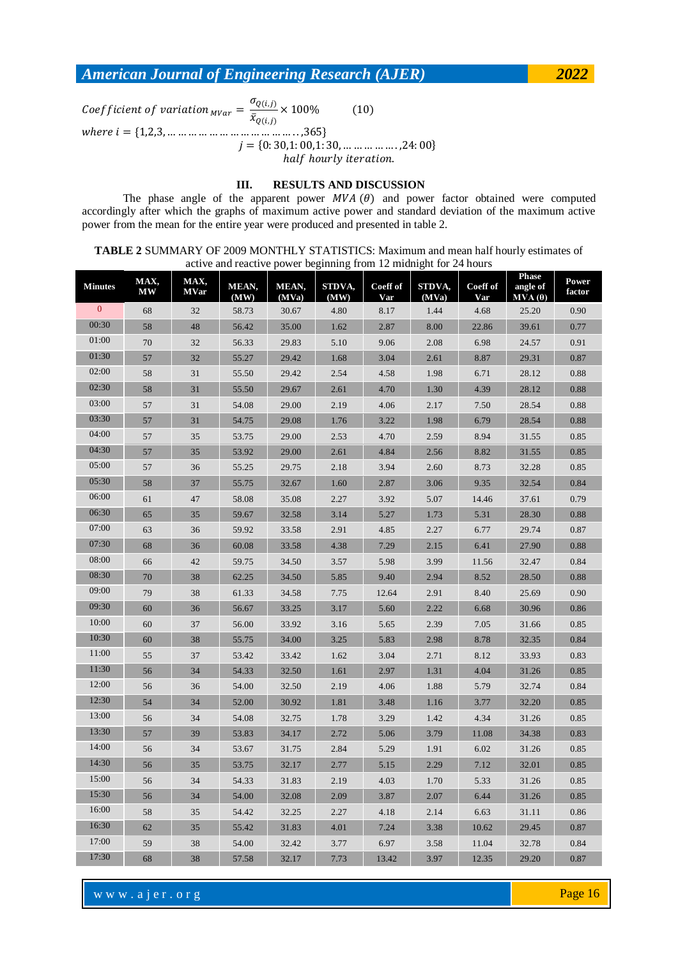$\sigma$  $(10)$  $\mathcal{C}_{0}^{(n)}$  $rac{\sqrt{\mathcal{L}(t,j)}}{\bar{x}_{O(i,j)}} \times$   $j = \{0: 30, 1: 00, 1: 30, \dots \dots \dots \dots \dots \dots \dots \}$ 24:00 half hourly iteration.

## **III. RESULTS AND DISCUSSION**

The phase angle of the apparent power  $MVA(\theta)$  and power factor obtained were computed accordingly after which the graphs of maximum active power and standard deviation of the maximum active power from the mean for the entire year were produced and presented in table 2.

**TABLE 2** SUMMARY OF 2009 MONTHLY STATISTICS: Maximum and mean half hourly estimates of active and reactive power beginning from 12 midnight for 24 hours

| <b>Minutes</b> | MAX,<br><b>MW</b> | MAX,<br><b>MVar</b> | MEAN,<br>(MW) | MEAN,<br>(MVa) | STDVA,<br>(MW) | Coeff of<br>Var | STDVA,<br>(MVa) | Coeff of<br>Var | <b>Phase</b><br>angle of<br>$MVA(\theta)$ | Power<br>factor |
|----------------|-------------------|---------------------|---------------|----------------|----------------|-----------------|-----------------|-----------------|-------------------------------------------|-----------------|
| $\mathbf{0}$   | 68                | 32                  | 58.73         | 30.67          | 4.80           | 8.17            | 1.44            | 4.68            | 25.20                                     | 0.90            |
| 00:30          | 58                | 48                  | 56.42         | 35.00          | 1.62           | 2.87            | 8.00            | 22.86           | 39.61                                     | 0.77            |
| 01:00          | 70                | 32                  | 56.33         | 29.83          | 5.10           | 9.06            | 2.08            | 6.98            | 24.57                                     | 0.91            |
| 01:30          | 57                | 32                  | 55.27         | 29.42          | 1.68           | 3.04            | 2.61            | 8.87            | 29.31                                     | 0.87            |
| 02:00          | 58                | 31                  | 55.50         | 29.42          | 2.54           | 4.58            | 1.98            | 6.71            | 28.12                                     | 0.88            |
| 02:30          | 58                | 31                  | 55.50         | 29.67          | 2.61           | 4.70            | 1.30            | 4.39            | 28.12                                     | 0.88            |
| 03:00          | 57                | 31                  | 54.08         | 29.00          | 2.19           | 4.06            | 2.17            | 7.50            | 28.54                                     | 0.88            |
| 03:30          | 57                | 31                  | 54.75         | 29.08          | 1.76           | 3.22            | 1.98            | 6.79            | 28.54                                     | 0.88            |
| 04:00          | 57                | 35                  | 53.75         | 29.00          | 2.53           | 4.70            | 2.59            | 8.94            | 31.55                                     | 0.85            |
| 04:30          | 57                | 35                  | 53.92         | 29.00          | 2.61           | 4.84            | 2.56            | 8.82            | 31.55                                     | 0.85            |
| 05:00          | 57                | 36                  | 55.25         | 29.75          | 2.18           | 3.94            | 2.60            | 8.73            | 32.28                                     | 0.85            |
| 05:30          | 58                | 37                  | 55.75         | 32.67          | 1.60           | 2.87            | 3.06            | 9.35            | 32.54                                     | 0.84            |
| 06:00          | 61                | 47                  | 58.08         | 35.08          | 2.27           | 3.92            | 5.07            | 14.46           | 37.61                                     | 0.79            |
| 06:30          | 65                | 35                  | 59.67         | 32.58          | 3.14           | 5.27            | 1.73            | 5.31            | 28.30                                     | 0.88            |
| 07:00          | 63                | 36                  | 59.92         | 33.58          | 2.91           | 4.85            | 2.27            | 6.77            | 29.74                                     | 0.87            |
| 07:30          | 68                | 36                  | 60.08         | 33.58          | 4.38           | 7.29            | 2.15            | 6.41            | 27.90                                     | 0.88            |
| 08:00          | 66                | 42                  | 59.75         | 34.50          | 3.57           | 5.98            | 3.99            | 11.56           | 32.47                                     | 0.84            |
| 08:30          | 70                | 38                  | 62.25         | 34.50          | 5.85           | 9.40            | 2.94            | 8.52            | 28.50                                     | 0.88            |
| 09:00          | 79                | 38                  | 61.33         | 34.58          | 7.75           | 12.64           | 2.91            | 8.40            | 25.69                                     | 0.90            |
| 09:30          | 60                | 36                  | 56.67         | 33.25          | 3.17           | 5.60            | 2.22            | 6.68            | 30.96                                     | 0.86            |
| 10:00          | 60                | 37                  | 56.00         | 33.92          | 3.16           | 5.65            | 2.39            | 7.05            | 31.66                                     | 0.85            |
| 10:30          | 60                | 38                  | 55.75         | 34.00          | 3.25           | 5.83            | 2.98            | 8.78            | 32.35                                     | 0.84            |
| 11:00          | 55                | 37                  | 53.42         | 33.42          | 1.62           | 3.04            | 2.71            | 8.12            | 33.93                                     | 0.83            |
| 11:30          | 56                | 34                  | 54.33         | 32.50          | 1.61           | 2.97            | 1.31            | 4.04            | 31.26                                     | 0.85            |
| 12:00          | 56                | 36                  | 54.00         | 32.50          | 2.19           | 4.06            | 1.88            | 5.79            | 32.74                                     | 0.84            |
| 12:30          | 54                | 34                  | 52.00         | 30.92          | 1.81           | 3.48            | 1.16            | 3.77            | 32.20                                     | 0.85            |
| 13:00          | 56                | 34                  | 54.08         | 32.75          | 1.78           | 3.29            | 1.42            | 4.34            | 31.26                                     | 0.85            |
| 13:30          | 57                | 39                  | 53.83         | 34.17          | 2.72           | 5.06            | 3.79            | 11.08           | 34.38                                     | 0.83            |
| 14:00          | 56                | 34                  | 53.67         | 31.75          | 2.84           | 5.29            | 1.91            | 6.02            | 31.26                                     | 0.85            |
| 14:30          | 56                | 35                  | 53.75         | 32.17          | 2.77           | 5.15            | 2.29            | 7.12            | 32.01                                     | 0.85            |
| 15:00          | 56                | 34                  | 54.33         | 31.83          | 2.19           | 4.03            | 1.70            | 5.33            | 31.26                                     | 0.85            |
| 15:30          | 56                | 34                  | 54.00         | 32.08          | 2.09           | 3.87            | 2.07            | 6.44            | 31.26                                     | 0.85            |
| 16:00          | 58                | 35                  | 54.42         | 32.25          | 2.27           | 4.18            | 2.14            | 6.63            | 31.11                                     | 0.86            |
| 16:30          | 62                | 35                  | 55.42         | 31.83          | 4.01           | 7.24            | 3.38            | 10.62           | 29.45                                     | 0.87            |
| 17:00          | 59                | 38                  | 54.00         | 32.42          | 3.77           | 6.97            | 3.58            | 11.04           | 32.78                                     | 0.84            |
| 17:30          | 68                | 38                  | 57.58         | 32.17          | 7.73           | 13.42           | 3.97            | 12.35           | 29.20                                     | 0.87            |

www.ajer.org where  $\mathcal{L} = \mathcal{L} \left( \mathcal{L} \right)$  is the set of  $\mathcal{L} \left( \mathcal{L} \right)$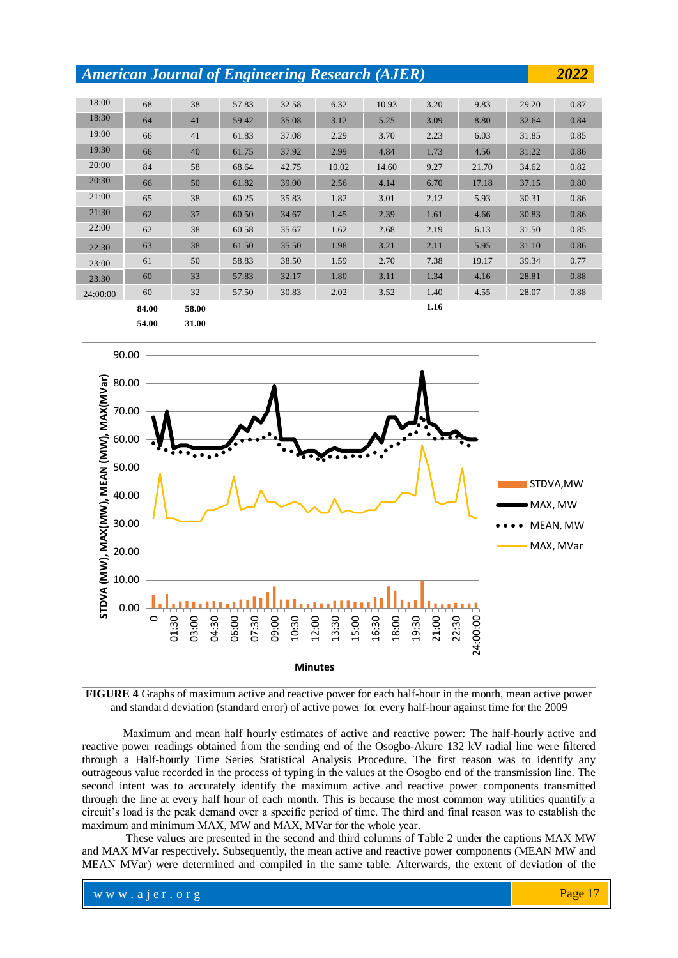| 18:00    | 68    | 38    | 57.83 | 32.58 | 6.32  | 10.93 | 3.20 | 9.83  | 29.20 | 0.87 |
|----------|-------|-------|-------|-------|-------|-------|------|-------|-------|------|
| 18:30    | 64    | 41    | 59.42 | 35.08 | 3.12  | 5.25  | 3.09 | 8.80  | 32.64 | 0.84 |
| 19:00    | 66    | 41    | 61.83 | 37.08 | 2.29  | 3.70  | 2.23 | 6.03  | 31.85 | 0.85 |
| 19:30    | 66    | 40    | 61.75 | 37.92 | 2.99  | 4.84  | 1.73 | 4.56  | 31.22 | 0.86 |
| 20:00    | 84    | 58    | 68.64 | 42.75 | 10.02 | 14.60 | 9.27 | 21.70 | 34.62 | 0.82 |
| 20:30    | 66    | 50    | 61.82 | 39.00 | 2.56  | 4.14  | 6.70 | 17.18 | 37.15 | 0.80 |
| 21:00    | 65    | 38    | 60.25 | 35.83 | 1.82  | 3.01  | 2.12 | 5.93  | 30.31 | 0.86 |
| 21:30    | 62    | 37    | 60.50 | 34.67 | 1.45  | 2.39  | 1.61 | 4.66  | 30.83 | 0.86 |
| 22:00    | 62    | 38    | 60.58 | 35.67 | 1.62  | 2.68  | 2.19 | 6.13  | 31.50 | 0.85 |
| 22:30    | 63    | 38    | 61.50 | 35.50 | 1.98  | 3.21  | 2.11 | 5.95  | 31.10 | 0.86 |
| 23:00    | 61    | 50    | 58.83 | 38.50 | 1.59  | 2.70  | 7.38 | 19.17 | 39.34 | 0.77 |
| 23:30    | 60    | 33    | 57.83 | 32.17 | 1.80  | 3.11  | 1.34 | 4.16  | 28.81 | 0.88 |
| 24:00:00 | 60    | 32    | 57.50 | 30.83 | 2.02  | 3.52  | 1.40 | 4.55  | 28.07 | 0.88 |
|          | 84.00 | 58.00 |       |       |       |       | 1.16 |       |       |      |

**54.00 31.00**



**FIGURE 4** Graphs of maximum active and reactive power for each half-hour in the month, mean active power and standard deviation (standard error) of active power for every half-hour against time for the 2009

Maximum and mean half hourly estimates of active and reactive power: The half-hourly active and reactive power readings obtained from the sending end of the Osogbo-Akure 132 kV radial line were filtered through a Half-hourly Time Series Statistical Analysis Procedure. The first reason was to identify any outrageous value recorded in the process of typing in the values at the Osogbo end of the transmission line. The second intent was to accurately identify the maximum active and reactive power components transmitted through the line at every half hour of each month. This is because the most common way utilities quantify a circuit's load is the peak demand over a specific period of time. The third and final reason was to establish the maximum and minimum MAX, MW and MAX, MVar for the whole year.

These values are presented in the second and third columns of Table 2 under the captions MAX MW and MAX MVar respectively. Subsequently, the mean active and reactive power components (MEAN MW and MEAN MVar) were determined and compiled in the same table. Afterwards, the extent of deviation of the